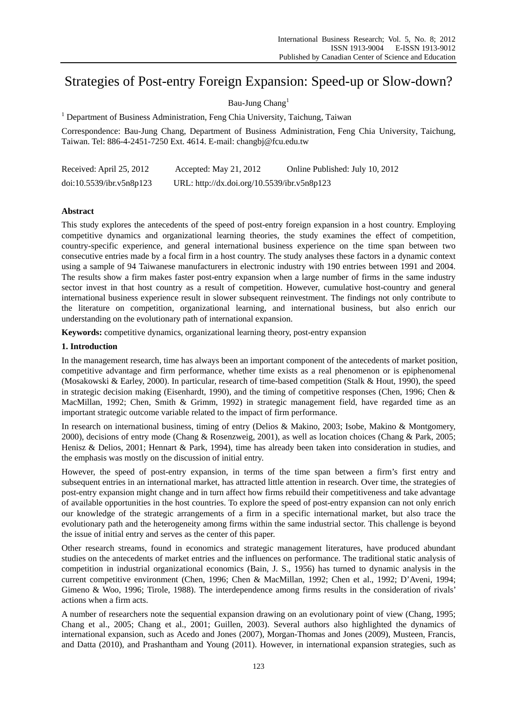# Strategies of Post-entry Foreign Expansion: Speed-up or Slow-down?

Bau-Jung Chang<sup>1</sup>

<sup>1</sup> Department of Business Administration, Feng Chia University, Taichung, Taiwan

Correspondence: Bau-Jung Chang, Department of Business Administration, Feng Chia University, Taichung, Taiwan. Tel: 886-4-2451-7250 Ext. 4614. E-mail: changbj@fcu.edu.tw

| Received: April 25, 2012 | Accepted: May 21, 2012                      | Online Published: July 10, 2012 |
|--------------------------|---------------------------------------------|---------------------------------|
| doi:10.5539/ibr.v5n8p123 | URL: http://dx.doi.org/10.5539/ibr.v5n8p123 |                                 |

# **Abstract**

This study explores the antecedents of the speed of post-entry foreign expansion in a host country. Employing competitive dynamics and organizational learning theories, the study examines the effect of competition, country-specific experience, and general international business experience on the time span between two consecutive entries made by a focal firm in a host country. The study analyses these factors in a dynamic context using a sample of 94 Taiwanese manufacturers in electronic industry with 190 entries between 1991 and 2004. The results show a firm makes faster post-entry expansion when a large number of firms in the same industry sector invest in that host country as a result of competition. However, cumulative host-country and general international business experience result in slower subsequent reinvestment. The findings not only contribute to the literature on competition, organizational learning, and international business, but also enrich our understanding on the evolutionary path of international expansion.

**Keywords:** competitive dynamics, organizational learning theory, post-entry expansion

# **1. Introduction**

In the management research, time has always been an important component of the antecedents of market position, competitive advantage and firm performance, whether time exists as a real phenomenon or is epiphenomenal (Mosakowski & Earley, 2000). In particular, research of time-based competition (Stalk & Hout, 1990), the speed in strategic decision making (Eisenhardt, 1990), and the timing of competitive responses (Chen, 1996; Chen & MacMillan, 1992; Chen, Smith & Grimm, 1992) in strategic management field, have regarded time as an important strategic outcome variable related to the impact of firm performance.

In research on international business, timing of entry (Delios & Makino, 2003; Isobe, Makino & Montgomery, 2000), decisions of entry mode (Chang & Rosenzweig, 2001), as well as location choices (Chang & Park, 2005; Henisz & Delios, 2001; Hennart & Park, 1994), time has already been taken into consideration in studies, and the emphasis was mostly on the discussion of initial entry.

However, the speed of post-entry expansion, in terms of the time span between a firm's first entry and subsequent entries in an international market, has attracted little attention in research. Over time, the strategies of post-entry expansion might change and in turn affect how firms rebuild their competitiveness and take advantage of available opportunities in the host countries. To explore the speed of post-entry expansion can not only enrich our knowledge of the strategic arrangements of a firm in a specific international market, but also trace the evolutionary path and the heterogeneity among firms within the same industrial sector. This challenge is beyond the issue of initial entry and serves as the center of this paper.

Other research streams, found in economics and strategic management literatures, have produced abundant studies on the antecedents of market entries and the influences on performance. The traditional static analysis of competition in industrial organizational economics (Bain, J. S., 1956) has turned to dynamic analysis in the current competitive environment (Chen, 1996; Chen & MacMillan, 1992; Chen et al., 1992; D'Aveni, 1994; Gimeno & Woo, 1996; Tirole, 1988). The interdependence among firms results in the consideration of rivals' actions when a firm acts.

A number of researchers note the sequential expansion drawing on an evolutionary point of view (Chang, 1995; Chang et al., 2005; Chang et al., 2001; Guillen, 2003). Several authors also highlighted the dynamics of international expansion, such as Acedo and Jones (2007), Morgan-Thomas and Jones (2009), Musteen, Francis, and Datta (2010), and Prashantham and Young (2011). However, in international expansion strategies, such as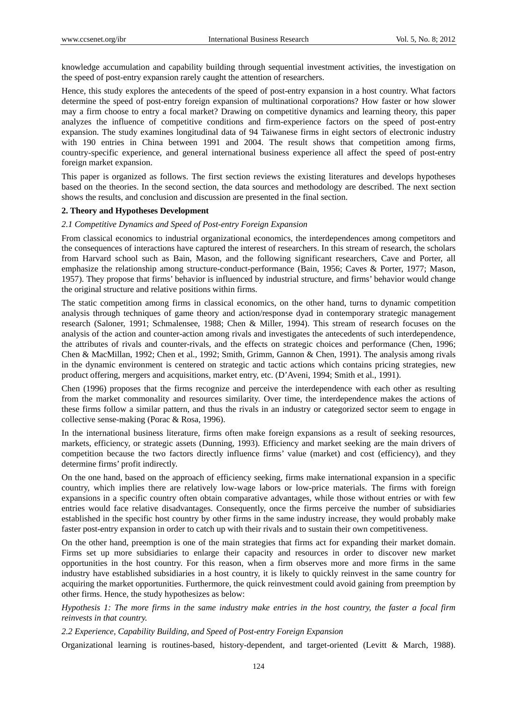knowledge accumulation and capability building through sequential investment activities, the investigation on the speed of post-entry expansion rarely caught the attention of researchers.

Hence, this study explores the antecedents of the speed of post-entry expansion in a host country. What factors determine the speed of post-entry foreign expansion of multinational corporations? How faster or how slower may a firm choose to entry a focal market? Drawing on competitive dynamics and learning theory, this paper analyzes the influence of competitive conditions and firm-experience factors on the speed of post-entry expansion. The study examines longitudinal data of 94 Taiwanese firms in eight sectors of electronic industry with 190 entries in China between 1991 and 2004. The result shows that competition among firms, country-specific experience, and general international business experience all affect the speed of post-entry foreign market expansion.

This paper is organized as follows. The first section reviews the existing literatures and develops hypotheses based on the theories. In the second section, the data sources and methodology are described. The next section shows the results, and conclusion and discussion are presented in the final section.

## **2. Theory and Hypotheses Development**

#### *2.1 Competitive Dynamics and Speed of Post-entry Foreign Expansion*

From classical economics to industrial organizational economics, the interdependences among competitors and the consequences of interactions have captured the interest of researchers. In this stream of research, the scholars from Harvard school such as Bain, Mason, and the following significant researchers, Cave and Porter, all emphasize the relationship among structure-conduct-performance (Bain, 1956; Caves & Porter, 1977; Mason, 1957). They propose that firms' behavior is influenced by industrial structure, and firms' behavior would change the original structure and relative positions within firms.

The static competition among firms in classical economics, on the other hand, turns to dynamic competition analysis through techniques of game theory and action/response dyad in contemporary strategic management research (Saloner, 1991; Schmalensee, 1988; Chen & Miller, 1994). This stream of research focuses on the analysis of the action and counter-action among rivals and investigates the antecedents of such interdependence, the attributes of rivals and counter-rivals, and the effects on strategic choices and performance (Chen, 1996; Chen & MacMillan, 1992; Chen et al., 1992; Smith, Grimm, Gannon & Chen, 1991). The analysis among rivals in the dynamic environment is centered on strategic and tactic actions which contains pricing strategies, new product offering, mergers and acquisitions, market entry, etc. (D'Aveni, 1994; Smith et al., 1991).

Chen (1996) proposes that the firms recognize and perceive the interdependence with each other as resulting from the market commonality and resources similarity. Over time, the interdependence makes the actions of these firms follow a similar pattern, and thus the rivals in an industry or categorized sector seem to engage in collective sense-making (Porac & Rosa, 1996).

In the international business literature, firms often make foreign expansions as a result of seeking resources, markets, efficiency, or strategic assets (Dunning, 1993). Efficiency and market seeking are the main drivers of competition because the two factors directly influence firms' value (market) and cost (efficiency), and they determine firms' profit indirectly.

On the one hand, based on the approach of efficiency seeking, firms make international expansion in a specific country, which implies there are relatively low-wage labors or low-price materials. The firms with foreign expansions in a specific country often obtain comparative advantages, while those without entries or with few entries would face relative disadvantages. Consequently, once the firms perceive the number of subsidiaries established in the specific host country by other firms in the same industry increase, they would probably make faster post-entry expansion in order to catch up with their rivals and to sustain their own competitiveness.

On the other hand, preemption is one of the main strategies that firms act for expanding their market domain. Firms set up more subsidiaries to enlarge their capacity and resources in order to discover new market opportunities in the host country. For this reason, when a firm observes more and more firms in the same industry have established subsidiaries in a host country, it is likely to quickly reinvest in the same country for acquiring the market opportunities. Furthermore, the quick reinvestment could avoid gaining from preemption by other firms. Hence, the study hypothesizes as below:

*Hypothesis 1: The more firms in the same industry make entries in the host country, the faster a focal firm reinvests in that country.* 

*2.2 Experience, Capability Building, and Speed of Post-entry Foreign Expansion* 

Organizational learning is routines-based, history-dependent, and target-oriented (Levitt & March, 1988).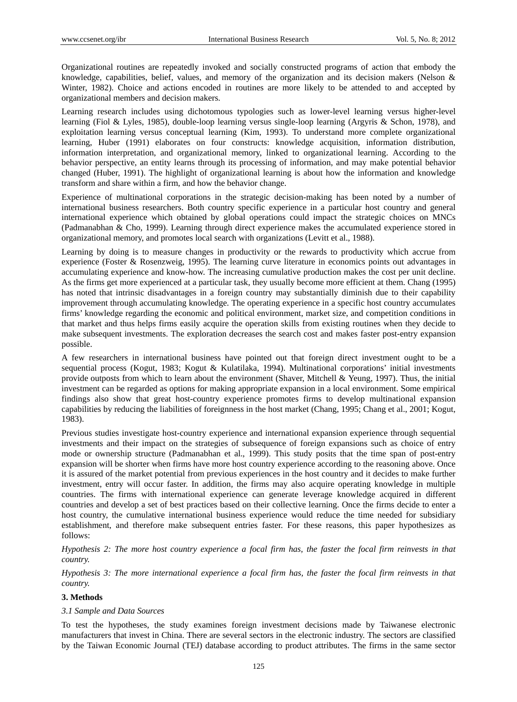Organizational routines are repeatedly invoked and socially constructed programs of action that embody the knowledge, capabilities, belief, values, and memory of the organization and its decision makers (Nelson  $\&$ Winter, 1982). Choice and actions encoded in routines are more likely to be attended to and accepted by organizational members and decision makers.

Learning research includes using dichotomous typologies such as lower-level learning versus higher-level learning (Fiol & Lyles, 1985), double-loop learning versus single-loop learning (Argyris & Schon, 1978), and exploitation learning versus conceptual learning (Kim, 1993). To understand more complete organizational learning, Huber (1991) elaborates on four constructs: knowledge acquisition, information distribution, information interpretation, and organizational memory, linked to organizational learning. According to the behavior perspective, an entity learns through its processing of information, and may make potential behavior changed (Huber, 1991). The highlight of organizational learning is about how the information and knowledge transform and share within a firm, and how the behavior change.

Experience of multinational corporations in the strategic decision-making has been noted by a number of international business researchers. Both country specific experience in a particular host country and general international experience which obtained by global operations could impact the strategic choices on MNCs (Padmanabhan & Cho, 1999). Learning through direct experience makes the accumulated experience stored in organizational memory, and promotes local search with organizations (Levitt et al., 1988).

Learning by doing is to measure changes in productivity or the rewards to productivity which accrue from experience (Foster & Rosenzweig, 1995). The learning curve literature in economics points out advantages in accumulating experience and know-how. The increasing cumulative production makes the cost per unit decline. As the firms get more experienced at a particular task, they usually become more efficient at them. Chang (1995) has noted that intrinsic disadvantages in a foreign country may substantially diminish due to their capability improvement through accumulating knowledge. The operating experience in a specific host country accumulates firms' knowledge regarding the economic and political environment, market size, and competition conditions in that market and thus helps firms easily acquire the operation skills from existing routines when they decide to make subsequent investments. The exploration decreases the search cost and makes faster post-entry expansion possible.

A few researchers in international business have pointed out that foreign direct investment ought to be a sequential process (Kogut, 1983; Kogut & Kulatilaka, 1994). Multinational corporations' initial investments provide outposts from which to learn about the environment (Shaver, Mitchell & Yeung, 1997). Thus, the initial investment can be regarded as options for making appropriate expansion in a local environment. Some empirical findings also show that great host-country experience promotes firms to develop multinational expansion capabilities by reducing the liabilities of foreignness in the host market (Chang, 1995; Chang et al., 2001; Kogut, 1983).

Previous studies investigate host-country experience and international expansion experience through sequential investments and their impact on the strategies of subsequence of foreign expansions such as choice of entry mode or ownership structure (Padmanabhan et al., 1999). This study posits that the time span of post-entry expansion will be shorter when firms have more host country experience according to the reasoning above. Once it is assured of the market potential from previous experiences in the host country and it decides to make further investment, entry will occur faster. In addition, the firms may also acquire operating knowledge in multiple countries. The firms with international experience can generate leverage knowledge acquired in different countries and develop a set of best practices based on their collective learning. Once the firms decide to enter a host country, the cumulative international business experience would reduce the time needed for subsidiary establishment, and therefore make subsequent entries faster. For these reasons, this paper hypothesizes as follows:

*Hypothesis 2: The more host country experience a focal firm has, the faster the focal firm reinvests in that country.* 

*Hypothesis 3: The more international experience a focal firm has, the faster the focal firm reinvests in that country.* 

# **3. Methods**

## *3.1 Sample and Data Sources*

To test the hypotheses, the study examines foreign investment decisions made by Taiwanese electronic manufacturers that invest in China. There are several sectors in the electronic industry. The sectors are classified by the Taiwan Economic Journal (TEJ) database according to product attributes. The firms in the same sector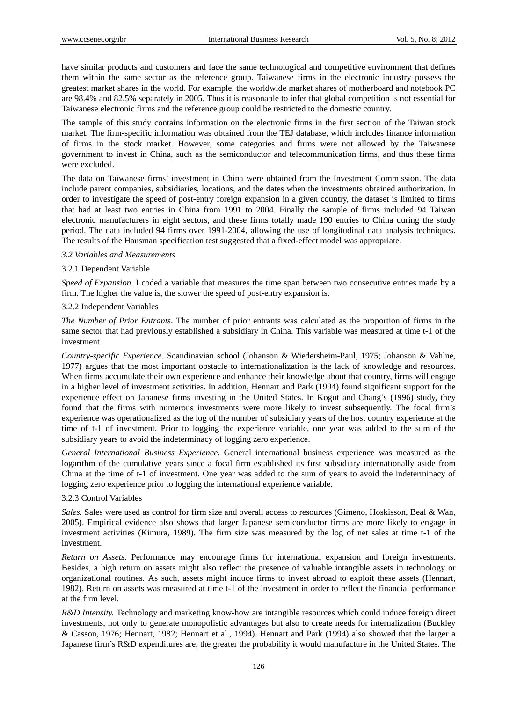have similar products and customers and face the same technological and competitive environment that defines them within the same sector as the reference group. Taiwanese firms in the electronic industry possess the greatest market shares in the world. For example, the worldwide market shares of motherboard and notebook PC are 98.4% and 82.5% separately in 2005. Thus it is reasonable to infer that global competition is not essential for Taiwanese electronic firms and the reference group could be restricted to the domestic country.

The sample of this study contains information on the electronic firms in the first section of the Taiwan stock market. The firm-specific information was obtained from the TEJ database, which includes finance information of firms in the stock market. However, some categories and firms were not allowed by the Taiwanese government to invest in China, such as the semiconductor and telecommunication firms, and thus these firms were excluded.

The data on Taiwanese firms' investment in China were obtained from the Investment Commission. The data include parent companies, subsidiaries, locations, and the dates when the investments obtained authorization. In order to investigate the speed of post-entry foreign expansion in a given country, the dataset is limited to firms that had at least two entries in China from 1991 to 2004. Finally the sample of firms included 94 Taiwan electronic manufacturers in eight sectors, and these firms totally made 190 entries to China during the study period. The data included 94 firms over 1991-2004, allowing the use of longitudinal data analysis techniques. The results of the Hausman specification test suggested that a fixed-effect model was appropriate.

#### *3.2 Variables and Measurements*

#### 3.2.1 Dependent Variable

*Speed of Expansion*. I coded a variable that measures the time span between two consecutive entries made by a firm. The higher the value is, the slower the speed of post-entry expansion is.

#### 3.2.2 Independent Variables

*The Number of Prior Entrants*. The number of prior entrants was calculated as the proportion of firms in the same sector that had previously established a subsidiary in China. This variable was measured at time t-1 of the investment.

*Country-specific Experience.* Scandinavian school (Johanson & Wiedersheim-Paul, 1975; Johanson & Vahlne, 1977) argues that the most important obstacle to internationalization is the lack of knowledge and resources. When firms accumulate their own experience and enhance their knowledge about that country, firms will engage in a higher level of investment activities. In addition, Hennart and Park (1994) found significant support for the experience effect on Japanese firms investing in the United States. In Kogut and Chang's (1996) study, they found that the firms with numerous investments were more likely to invest subsequently. The focal firm's experience was operationalized as the log of the number of subsidiary years of the host country experience at the time of t-1 of investment. Prior to logging the experience variable, one year was added to the sum of the subsidiary years to avoid the indeterminacy of logging zero experience.

*General International Business Experience.* General international business experience was measured as the logarithm of the cumulative years since a focal firm established its first subsidiary internationally aside from China at the time of t-1 of investment. One year was added to the sum of years to avoid the indeterminacy of logging zero experience prior to logging the international experience variable.

# 3.2.3 Control Variables

*Sales.* Sales were used as control for firm size and overall access to resources (Gimeno, Hoskisson, Beal & Wan, 2005). Empirical evidence also shows that larger Japanese semiconductor firms are more likely to engage in investment activities (Kimura, 1989). The firm size was measured by the log of net sales at time t-1 of the investment.

*Return on Assets.* Performance may encourage firms for international expansion and foreign investments. Besides, a high return on assets might also reflect the presence of valuable intangible assets in technology or organizational routines. As such, assets might induce firms to invest abroad to exploit these assets (Hennart, 1982). Return on assets was measured at time t-1 of the investment in order to reflect the financial performance at the firm level.

*R&D Intensity.* Technology and marketing know-how are intangible resources which could induce foreign direct investments, not only to generate monopolistic advantages but also to create needs for internalization (Buckley & Casson, 1976; Hennart, 1982; Hennart et al., 1994). Hennart and Park (1994) also showed that the larger a Japanese firm's R&D expenditures are, the greater the probability it would manufacture in the United States. The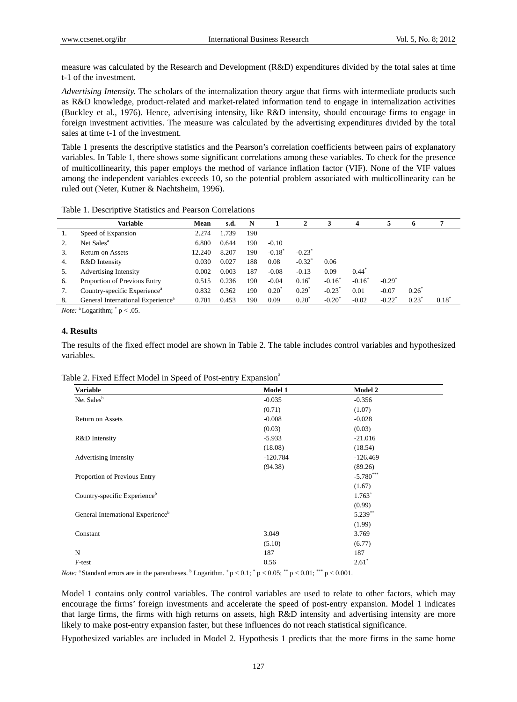measure was calculated by the Research and Development (R&D) expenditures divided by the total sales at time t-1 of the investment.

*Advertising Intensity.* The scholars of the internalization theory argue that firms with intermediate products such as R&D knowledge, product-related and market-related information tend to engage in internalization activities (Buckley et al., 1976). Hence, advertising intensity, like R&D intensity, should encourage firms to engage in foreign investment activities. The measure was calculated by the advertising expenditures divided by the total sales at time t-1 of the investment.

Table 1 presents the descriptive statistics and the Pearson's correlation coefficients between pairs of explanatory variables. In Table 1, there shows some significant correlations among these variables. To check for the presence of multicollinearity, this paper employs the method of variance inflation factor (VIF). None of the VIF values among the independent variables exceeds 10, so the potential problem associated with multicollinearity can be ruled out (Neter, Kutner & Nachtsheim, 1996).

Table 1. Descriptive Statistics and Pearson Correlations

|    | Variable                                      | Mean   | s.d.  | N   |                      | 2          | 3               | 4                    | 5                    | 6              | 7              |  |
|----|-----------------------------------------------|--------|-------|-----|----------------------|------------|-----------------|----------------------|----------------------|----------------|----------------|--|
| 1. | Speed of Expansion                            | 2.274  | .739  | 190 |                      |            |                 |                      |                      |                |                |  |
| 2. | Net Sales <sup>a</sup>                        | 6.800  | 0.644 | 190 | $-0.10$              |            |                 |                      |                      |                |                |  |
| 3. | <b>Return on Assets</b>                       | 12.240 | 8.207 | 190 | $-0.18$ <sup>*</sup> | $-0.23^*$  |                 |                      |                      |                |                |  |
| 4. | R&D Intensity                                 | 0.030  | 0.027 | 188 | 0.08                 | $-0.32$    | 0.06            |                      |                      |                |                |  |
| 5. | <b>Advertising Intensity</b>                  | 0.002  | 0.003 | 187 | $-0.08$              | $-0.13$    | 0.09            | $0.44^{\circ}$       |                      |                |                |  |
| 6. | Proportion of Previous Entry                  | 0.515  | 0.236 | 190 | $-0.04$              | $0.16^*$   | $-0.16^*$       | $-0.16$ <sup>*</sup> | $-0.29$ <sup>*</sup> |                |                |  |
| 7. | Country-specific Experience <sup>a</sup>      | 0.832  | 0.362 | 190 | $0.20^{\circ}$       | $0.29^{*}$ | $-0.23$         | 0.01                 | $-0.07$              | $0.26^{\circ}$ |                |  |
| 8. | General International Experience <sup>a</sup> | 0.701  | 0.453 | 190 | 0.09                 | $0.20^*$   | $-0.20^{\circ}$ | $-0.02$              | $-0.22$              | 0.23           | $0.18^{\circ}$ |  |
|    |                                               |        |       |     |                      |            |                 |                      |                      |                |                |  |

*Note:*  $\alpha$  Logarithm;  $\gamma$  p < .05.

# **4. Results**

The results of the fixed effect model are shown in Table 2. The table includes control variables and hypothesized variables.

| <b>Variable</b>                               | Model 1    | <b>Model 2</b> |  |
|-----------------------------------------------|------------|----------------|--|
| Net Sales <sup>b</sup>                        | $-0.035$   | $-0.356$       |  |
|                                               | (0.71)     | (1.07)         |  |
| <b>Return on Assets</b>                       | $-0.008$   | $-0.028$       |  |
|                                               | (0.03)     | (0.03)         |  |
| R&D Intensity                                 | $-5.933$   | $-21.016$      |  |
|                                               | (18.08)    | (18.54)        |  |
| Advertising Intensity                         | $-120.784$ | $-126.469$     |  |
|                                               | (94.38)    | (89.26)        |  |
| Proportion of Previous Entry                  |            | $-5.780***$    |  |
|                                               |            | (1.67)         |  |
| Country-specific Experience <sup>b</sup>      |            | $1.763^{+}$    |  |
|                                               |            | (0.99)         |  |
| General International Experience <sup>b</sup> |            | $5.239***$     |  |
|                                               |            | (1.99)         |  |
| Constant                                      | 3.049      | 3.769          |  |
|                                               | (5.10)     | (6.77)         |  |
| N                                             | 187        | 187            |  |
| F-test                                        | 0.56       | $2.61*$        |  |

|  |  | Table 2. Fixed Effect Model in Speed of Post-entry Expansion <sup>a</sup> |
|--|--|---------------------------------------------------------------------------|
|  |  |                                                                           |

*Note:*  $a$  Standard errors are in the parentheses.  $b$  Logarithm.  $\frac{b}{p} < 0.1$ ;  $\frac{b}{p} < 0.05$ ;  $\frac{b}{p} < 0.01$ ;  $\frac{b}{p} < 0.001$ .

Model 1 contains only control variables. The control variables are used to relate to other factors, which may encourage the firms' foreign investments and accelerate the speed of post-entry expansion. Model 1 indicates that large firms, the firms with high returns on assets, high R&D intensity and advertising intensity are more likely to make post-entry expansion faster, but these influences do not reach statistical significance.

Hypothesized variables are included in Model 2. Hypothesis 1 predicts that the more firms in the same home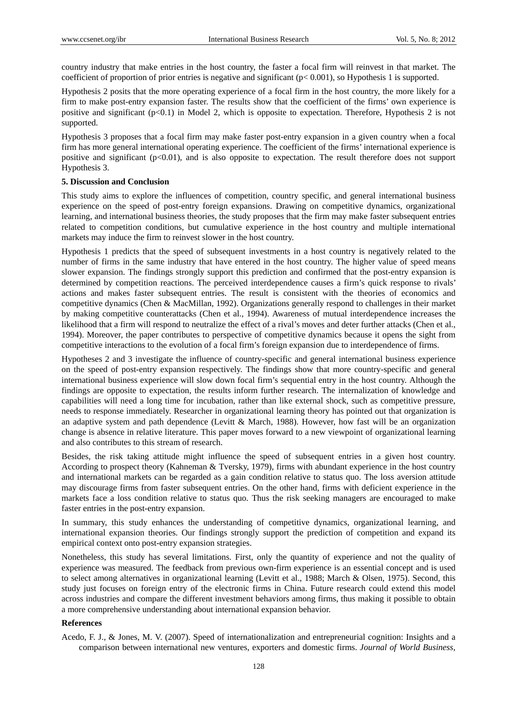country industry that make entries in the host country, the faster a focal firm will reinvest in that market. The coefficient of proportion of prior entries is negative and significant (p< 0.001), so Hypothesis 1 is supported.

Hypothesis 2 posits that the more operating experience of a focal firm in the host country, the more likely for a firm to make post-entry expansion faster. The results show that the coefficient of the firms' own experience is positive and significant  $(p<0.1)$  in Model 2, which is opposite to expectation. Therefore, Hypothesis 2 is not supported.

Hypothesis 3 proposes that a focal firm may make faster post-entry expansion in a given country when a focal firm has more general international operating experience. The coefficient of the firms' international experience is positive and significant  $(p<0.01)$ , and is also opposite to expectation. The result therefore does not support Hypothesis 3.

#### **5. Discussion and Conclusion**

This study aims to explore the influences of competition, country specific, and general international business experience on the speed of post-entry foreign expansions. Drawing on competitive dynamics, organizational learning, and international business theories, the study proposes that the firm may make faster subsequent entries related to competition conditions, but cumulative experience in the host country and multiple international markets may induce the firm to reinvest slower in the host country.

Hypothesis 1 predicts that the speed of subsequent investments in a host country is negatively related to the number of firms in the same industry that have entered in the host country. The higher value of speed means slower expansion. The findings strongly support this prediction and confirmed that the post-entry expansion is determined by competition reactions. The perceived interdependence causes a firm's quick response to rivals' actions and makes faster subsequent entries. The result is consistent with the theories of economics and competitive dynamics (Chen & MacMillan, 1992). Organizations generally respond to challenges in their market by making competitive counterattacks (Chen et al., 1994). Awareness of mutual interdependence increases the likelihood that a firm will respond to neutralize the effect of a rival's moves and deter further attacks (Chen et al., 1994). Moreover, the paper contributes to perspective of competitive dynamics because it opens the sight from competitive interactions to the evolution of a focal firm's foreign expansion due to interdependence of firms.

Hypotheses 2 and 3 investigate the influence of country-specific and general international business experience on the speed of post-entry expansion respectively. The findings show that more country-specific and general international business experience will slow down focal firm's sequential entry in the host country. Although the findings are opposite to expectation, the results inform further research. The internalization of knowledge and capabilities will need a long time for incubation, rather than like external shock, such as competitive pressure, needs to response immediately. Researcher in organizational learning theory has pointed out that organization is an adaptive system and path dependence (Levitt & March, 1988). However, how fast will be an organization change is absence in relative literature. This paper moves forward to a new viewpoint of organizational learning and also contributes to this stream of research.

Besides, the risk taking attitude might influence the speed of subsequent entries in a given host country. According to prospect theory (Kahneman & Tversky, 1979), firms with abundant experience in the host country and international markets can be regarded as a gain condition relative to status quo. The loss aversion attitude may discourage firms from faster subsequent entries. On the other hand, firms with deficient experience in the markets face a loss condition relative to status quo. Thus the risk seeking managers are encouraged to make faster entries in the post-entry expansion.

In summary, this study enhances the understanding of competitive dynamics, organizational learning, and international expansion theories. Our findings strongly support the prediction of competition and expand its empirical context onto post-entry expansion strategies.

Nonetheless, this study has several limitations. First, only the quantity of experience and not the quality of experience was measured. The feedback from previous own-firm experience is an essential concept and is used to select among alternatives in organizational learning (Levitt et al., 1988; March & Olsen, 1975). Second, this study just focuses on foreign entry of the electronic firms in China. Future research could extend this model across industries and compare the different investment behaviors among firms, thus making it possible to obtain a more comprehensive understanding about international expansion behavior.

## **References**

Acedo, F. J., & Jones, M. V. (2007). Speed of internationalization and entrepreneurial cognition: Insights and a comparison between international new ventures, exporters and domestic firms. *Journal of World Business,*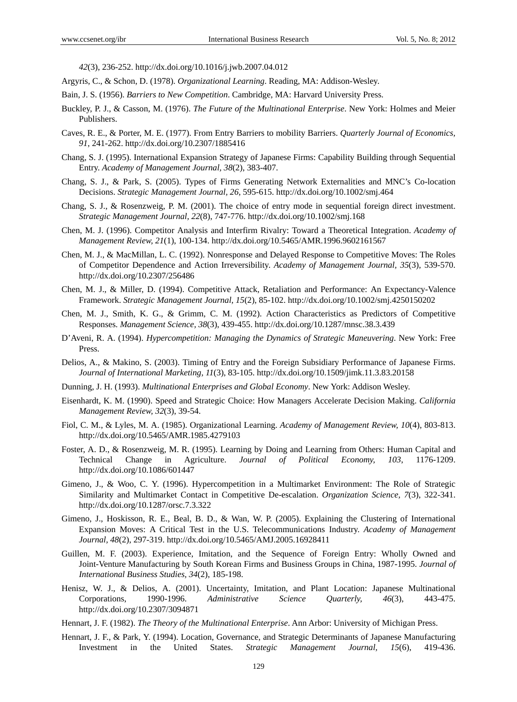*42*(3), 236-252. http://dx.doi.org/10.1016/j.jwb.2007.04.012

- Argyris, C., & Schon, D. (1978). *Organizational Learning*. Reading, MA: Addison-Wesley.
- Bain, J. S. (1956). *Barriers to New Competition*. Cambridge, MA: Harvard University Press.
- Buckley, P. J., & Casson, M. (1976). *The Future of the Multinational Enterprise*. New York: Holmes and Meier Publishers.
- Caves, R. E., & Porter, M. E. (1977). From Entry Barriers to mobility Barriers. *Quarterly Journal of Economics, 91*, 241-262. http://dx.doi.org/10.2307/1885416
- Chang, S. J. (1995). International Expansion Strategy of Japanese Firms: Capability Building through Sequential Entry. *Academy of Management Journal, 38*(2), 383-407.
- Chang, S. J., & Park, S. (2005). Types of Firms Generating Network Externalities and MNC's Co-location Decisions. *Strategic Management Journal, 26*, 595-615. http://dx.doi.org/10.1002/smj.464
- Chang, S. J., & Rosenzweig, P. M. (2001). The choice of entry mode in sequential foreign direct investment. *Strategic Management Journal, 22*(8), 747-776. http://dx.doi.org/10.1002/smj.168
- Chen, M. J. (1996). Competitor Analysis and Interfirm Rivalry: Toward a Theoretical Integration. *Academy of Management Review, 21*(1), 100-134. http://dx.doi.org/10.5465/AMR.1996.9602161567
- Chen, M. J., & MacMillan, L. C. (1992). Nonresponse and Delayed Response to Competitive Moves: The Roles of Competitor Dependence and Action Irreversibility. *Academy of Management Journal, 35*(3), 539-570. http://dx.doi.org/10.2307/256486
- Chen, M. J., & Miller, D. (1994). Competitive Attack, Retaliation and Performance: An Expectancy-Valence Framework. *Strategic Management Journal, 15*(2), 85-102. http://dx.doi.org/10.1002/smj.4250150202
- Chen, M. J., Smith, K. G., & Grimm, C. M. (1992). Action Characteristics as Predictors of Competitive Responses. *Management Science, 38*(3), 439-455. http://dx.doi.org/10.1287/mnsc.38.3.439
- D'Aveni, R. A. (1994). *Hypercompetition: Managing the Dynamics of Strategic Maneuvering*. New York: Free Press.
- Delios, A., & Makino, S. (2003). Timing of Entry and the Foreign Subsidiary Performance of Japanese Firms. *Journal of International Marketing, 11*(3), 83-105. http://dx.doi.org/10.1509/jimk.11.3.83.20158
- Dunning, J. H. (1993). *Multinational Enterprises and Global Economy*. New York: Addison Wesley.
- Eisenhardt, K. M. (1990). Speed and Strategic Choice: How Managers Accelerate Decision Making. *California Management Review, 32*(3), 39-54.
- Fiol, C. M., & Lyles, M. A. (1985). Organizational Learning. *Academy of Management Review, 10*(4), 803-813. http://dx.doi.org/10.5465/AMR.1985.4279103
- Foster, A. D., & Rosenzweig, M. R. (1995). Learning by Doing and Learning from Others: Human Capital and Technical Change in Agriculture. *Journal of Political Economy, 103*, 1176-1209. http://dx.doi.org/10.1086/601447
- Gimeno, J., & Woo, C. Y. (1996). Hypercompetition in a Multimarket Environment: The Role of Strategic Similarity and Multimarket Contact in Competitive De-escalation. *Organization Science, 7*(3), 322-341. http://dx.doi.org/10.1287/orsc.7.3.322
- Gimeno, J., Hoskisson, R. E., Beal, B. D., & Wan, W. P. (2005). Explaining the Clustering of International Expansion Moves: A Critical Test in the U.S. Telecommunications Industry. *Academy of Management Journal, 48*(2), 297-319. http://dx.doi.org/10.5465/AMJ.2005.16928411
- Guillen, M. F. (2003). Experience, Imitation, and the Sequence of Foreign Entry: Wholly Owned and Joint-Venture Manufacturing by South Korean Firms and Business Groups in China, 1987-1995. *Journal of International Business Studies, 34*(2), 185-198.
- Henisz, W. J., & Delios, A. (2001). Uncertainty, Imitation, and Plant Location: Japanese Multinational Corporations, 1990-1996. *Administrative Science Quarterly, 46*(3), 443-475. http://dx.doi.org/10.2307/3094871
- Hennart, J. F. (1982). *The Theory of the Multinational Enterprise*. Ann Arbor: University of Michigan Press.
- Hennart, J. F., & Park, Y. (1994). Location, Governance, and Strategic Determinants of Japanese Manufacturing Investment in the United States. *Strategic Management Journal, 15*(6), 419-436.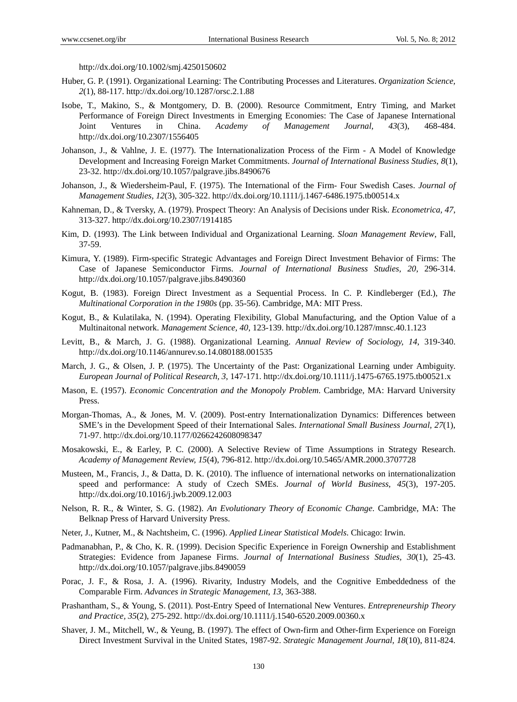http://dx.doi.org/10.1002/smj.4250150602

- Huber, G. P. (1991). Organizational Learning: The Contributing Processes and Literatures. *Organization Science, 2*(1), 88-117. http://dx.doi.org/10.1287/orsc.2.1.88
- Isobe, T., Makino, S., & Montgomery, D. B. (2000). Resource Commitment, Entry Timing, and Market Performance of Foreign Direct Investments in Emerging Economies: The Case of Japanese International Joint Ventures in China. *Academy of Management Journal, 43*(3), 468-484. http://dx.doi.org/10.2307/1556405
- Johanson, J., & Vahlne, J. E. (1977). The Internationalization Process of the Firm A Model of Knowledge Development and Increasing Foreign Market Commitments. *Journal of International Business Studies, 8*(1), 23-32. http://dx.doi.org/10.1057/palgrave.jibs.8490676
- Johanson, J., & Wiedersheim-Paul, F. (1975). The International of the Firm- Four Swedish Cases. *Journal of Management Studies, 12*(3), 305-322. http://dx.doi.org/10.1111/j.1467-6486.1975.tb00514.x
- Kahneman, D., & Tversky, A. (1979). Prospect Theory: An Analysis of Decisions under Risk. *Econometrica, 47*, 313-327. http://dx.doi.org/10.2307/1914185
- Kim, D. (1993). The Link between Individual and Organizational Learning. *Sloan Management Review*, Fall, 37-59.
- Kimura, Y. (1989). Firm-specific Strategic Advantages and Foreign Direct Investment Behavior of Firms: The Case of Japanese Semiconductor Firms. *Journal of International Business Studies, 20*, 296-314. http://dx.doi.org/10.1057/palgrave.jibs.8490360
- Kogut, B. (1983). Foreign Direct Investment as a Sequential Process. In C. P. Kindleberger (Ed.), *The Multinational Corporation in the 1980s* (pp. 35-56). Cambridge, MA: MIT Press.
- Kogut, B., & Kulatilaka, N. (1994). Operating Flexibility, Global Manufacturing, and the Option Value of a Multinaitonal network. *Management Science, 40*, 123-139. http://dx.doi.org/10.1287/mnsc.40.1.123
- Levitt, B., & March, J. G. (1988). Organizational Learning. *Annual Review of Sociology, 14*, 319-340. http://dx.doi.org/10.1146/annurev.so.14.080188.001535
- March, J. G., & Olsen, J. P. (1975). The Uncertainty of the Past: Organizational Learning under Ambiguity. *European Journal of Political Research, 3*, 147-171. http://dx.doi.org/10.1111/j.1475-6765.1975.tb00521.x
- Mason, E. (1957). *Economic Concentration and the Monopoly Problem*. Cambridge, MA: Harvard University Press.
- Morgan-Thomas, A., & Jones, M. V. (2009). Post-entry Internationalization Dynamics: Differences between SME's in the Development Speed of their International Sales. *International Small Business Journal, 27*(1), 71-97. http://dx.doi.org/10.1177/0266242608098347
- Mosakowski, E., & Earley, P. C. (2000). A Selective Review of Time Assumptions in Strategy Research. *Academy of Management Review, 15*(4), 796-812. http://dx.doi.org/10.5465/AMR.2000.3707728
- Musteen, M., Francis, J., & Datta, D. K. (2010). The influence of international networks on internationalization speed and performance: A study of Czech SMEs. *Journal of World Business, 45*(3), 197-205. http://dx.doi.org/10.1016/j.jwb.2009.12.003
- Nelson, R. R., & Winter, S. G. (1982). *An Evolutionary Theory of Economic Change*. Cambridge, MA: The Belknap Press of Harvard University Press.
- Neter, J., Kutner, M., & Nachtsheim, C. (1996). *Applied Linear Statistical Models*. Chicago: Irwin.
- Padmanabhan, P., & Cho, K. R. (1999). Decision Specific Experience in Foreign Ownership and Establishment Strategies: Evidence from Japanese Firms. *Journal of International Business Studies, 30*(1), 25-43. http://dx.doi.org/10.1057/palgrave.jibs.8490059
- Porac, J. F., & Rosa, J. A. (1996). Rivarity, Industry Models, and the Cognitive Embeddedness of the Comparable Firm. *Advances in Strategic Management, 13*, 363-388.
- Prashantham, S., & Young, S. (2011). Post-Entry Speed of International New Ventures. *Entrepreneurship Theory and Practice, 35*(2), 275-292. http://dx.doi.org/10.1111/j.1540-6520.2009.00360.x
- Shaver, J. M., Mitchell, W., & Yeung, B. (1997). The effect of Own-firm and Other-firm Experience on Foreign Direct Investment Survival in the United States, 1987-92. *Strategic Management Journal, 18*(10), 811-824.